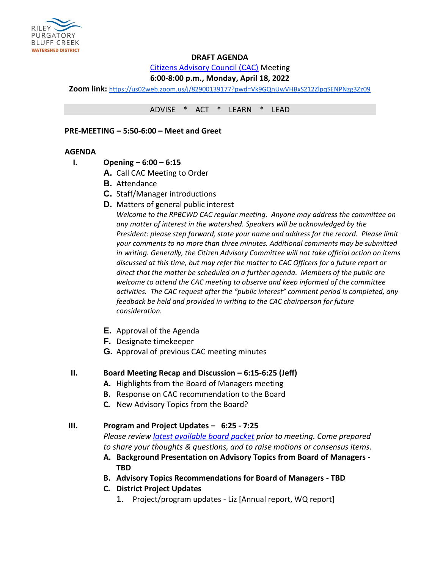

## **DRAFT AGENDA**

[Citizens Advisory Council \(CAC\)](https://rpbcwd.org/cac) Meeting

## **6:00-8:00 p.m., Monday, April 18, 2022**

**Zoom link:** <https://us02web.zoom.us/j/82900139177?pwd=Vk9GQnUwVHBxS212ZlpqSENPNzg3Zz09>

ADVISE \* ACT \* LEARN \* LEAD

### **PRE-MEETING – 5:50-6:00 – Meet and Greet**

### **AGENDA**

- **I. Opening – 6:00 – 6:15**
	- **A.** Call CAC Meeting to Order
	- **B.** Attendance
	- **C.** Staff/Manager introductions
	- **D.** Matters of general public interest

*Welcome to the RPBCWD CAC regular meeting. Anyone may address the committee on any matter of interest in the watershed. Speakers will be acknowledged by the President: please step forward, state your name and address for the record. Please limit your comments to no more than three minutes. Additional comments may be submitted in writing. Generally, the Citizen Advisory Committee will not take official action on items discussed at this time, but may refer the matter to CAC Officers for a future report or direct that the matter be scheduled on a further agenda. Members of the public are welcome to attend the CAC meeting to observe and keep informed of the committee activities. The CAC request after the "public interest" comment period is completed, any feedback be held and provided in writing to the CAC chairperson for future consideration.*

- **E.** Approval of the Agenda
- **F.** Designate timekeeper
- **G.** Approval of previous CAC meeting minutes

### **II. Board Meeting Recap and Discussion – 6:15-6:25 (Jeff)**

- **A.** Highlights from the Board of Managers meeting
- **B.** Response on CAC recommendation to the Board
- **C.** New Advisory Topics from the Board?

### **III. Program and Project Updates – 6:25 - 7:25**

*Please review [latest available board packet](https://rpbcwd.org/library/board-agendas-packets-minutes) prior to meeting. Come prepared to share your thoughts & questions, and to raise motions or consensus items.*

- **A. Background Presentation on Advisory Topics from Board of Managers - TBD**
- **B. Advisory Topics Recommendations for Board of Managers - TBD**
- **C. District Project Updates**
	- 1. Project/program updates Liz [Annual report, WQ report]